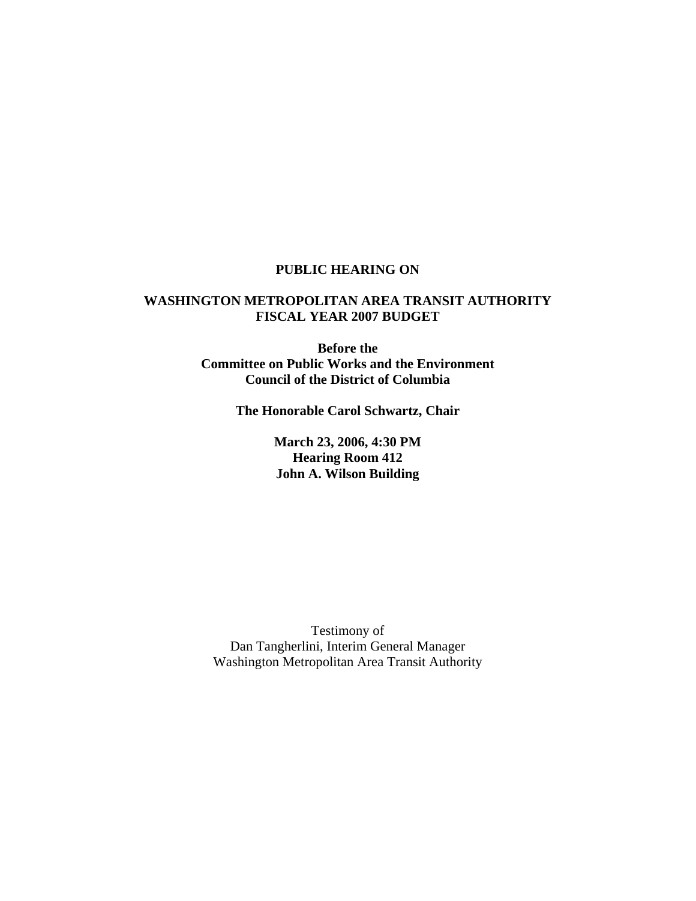# **PUBLIC HEARING ON**

## **WASHINGTON METROPOLITAN AREA TRANSIT AUTHORITY FISCAL YEAR 2007 BUDGET**

**Before the Committee on Public Works and the Environment Council of the District of Columbia** 

**The Honorable Carol Schwartz, Chair** 

**March 23, 2006, 4:30 PM Hearing Room 412 John A. Wilson Building**

Testimony of Dan Tangherlini, Interim General Manager Washington Metropolitan Area Transit Authority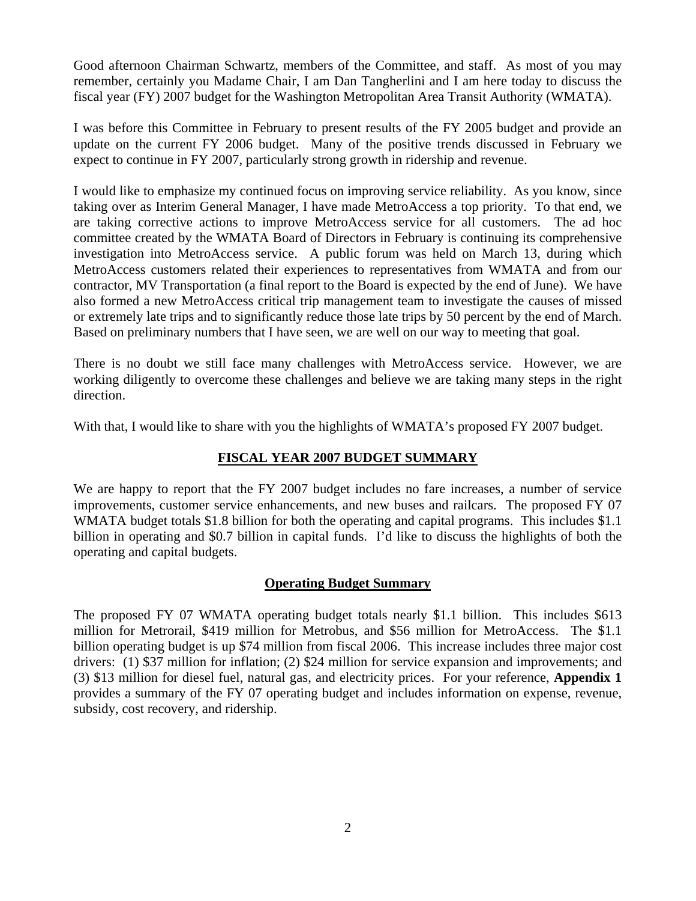Good afternoon Chairman Schwartz, members of the Committee, and staff. As most of you may remember, certainly you Madame Chair, I am Dan Tangherlini and I am here today to discuss the fiscal year (FY) 2007 budget for the Washington Metropolitan Area Transit Authority (WMATA).

I was before this Committee in February to present results of the FY 2005 budget and provide an update on the current FY 2006 budget. Many of the positive trends discussed in February we expect to continue in FY 2007, particularly strong growth in ridership and revenue.

I would like to emphasize my continued focus on improving service reliability. As you know, since taking over as Interim General Manager, I have made MetroAccess a top priority. To that end, we are taking corrective actions to improve MetroAccess service for all customers. The ad hoc committee created by the WMATA Board of Directors in February is continuing its comprehensive investigation into MetroAccess service. A public forum was held on March 13, during which MetroAccess customers related their experiences to representatives from WMATA and from our contractor, MV Transportation (a final report to the Board is expected by the end of June). We have also formed a new MetroAccess critical trip management team to investigate the causes of missed or extremely late trips and to significantly reduce those late trips by 50 percent by the end of March. Based on preliminary numbers that I have seen, we are well on our way to meeting that goal.

There is no doubt we still face many challenges with MetroAccess service. However, we are working diligently to overcome these challenges and believe we are taking many steps in the right direction.

With that, I would like to share with you the highlights of WMATA's proposed FY 2007 budget.

# **FISCAL YEAR 2007 BUDGET SUMMARY**

We are happy to report that the FY 2007 budget includes no fare increases, a number of service improvements, customer service enhancements, and new buses and railcars. The proposed FY 07 WMATA budget totals \$1.8 billion for both the operating and capital programs. This includes \$1.1 billion in operating and \$0.7 billion in capital funds. I'd like to discuss the highlights of both the operating and capital budgets.

# **Operating Budget Summary**

The proposed FY 07 WMATA operating budget totals nearly \$1.1 billion. This includes \$613 million for Metrorail, \$419 million for Metrobus, and \$56 million for MetroAccess. The \$1.1 billion operating budget is up \$74 million from fiscal 2006. This increase includes three major cost drivers: (1) \$37 million for inflation; (2) \$24 million for service expansion and improvements; and (3) \$13 million for diesel fuel, natural gas, and electricity prices. For your reference, **Appendix 1** provides a summary of the FY 07 operating budget and includes information on expense, revenue, subsidy, cost recovery, and ridership.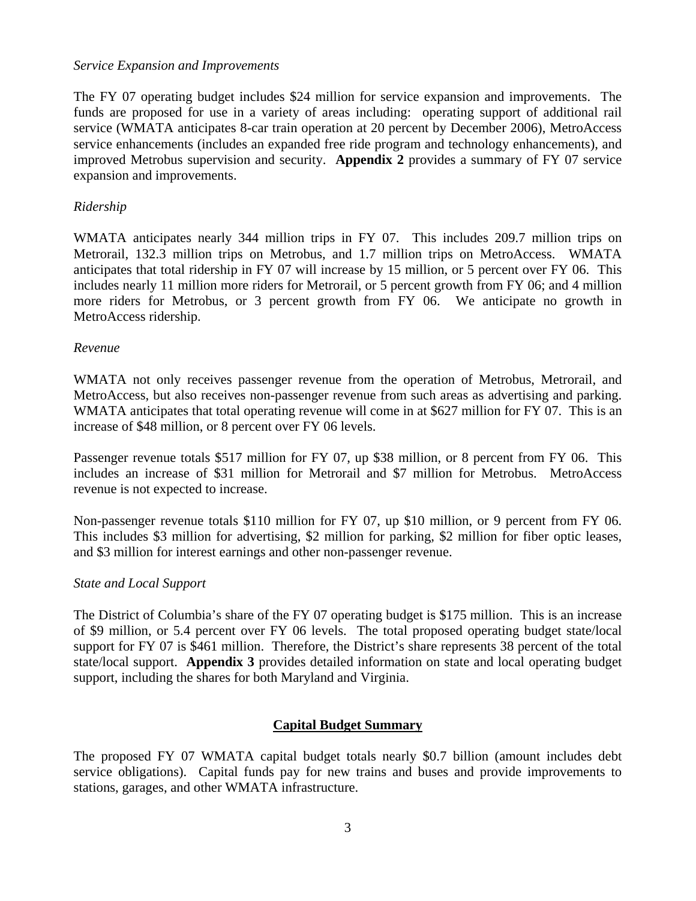#### *Service Expansion and Improvements*

The FY 07 operating budget includes \$24 million for service expansion and improvements. The funds are proposed for use in a variety of areas including: operating support of additional rail service (WMATA anticipates 8-car train operation at 20 percent by December 2006), MetroAccess service enhancements (includes an expanded free ride program and technology enhancements), and improved Metrobus supervision and security. **Appendix 2** provides a summary of FY 07 service expansion and improvements.

## *Ridership*

WMATA anticipates nearly 344 million trips in FY 07. This includes 209.7 million trips on Metrorail, 132.3 million trips on Metrobus, and 1.7 million trips on MetroAccess. WMATA anticipates that total ridership in FY 07 will increase by 15 million, or 5 percent over FY 06. This includes nearly 11 million more riders for Metrorail, or 5 percent growth from FY 06; and 4 million more riders for Metrobus, or 3 percent growth from FY 06. We anticipate no growth in MetroAccess ridership.

#### *Revenue*

WMATA not only receives passenger revenue from the operation of Metrobus, Metrorail, and MetroAccess, but also receives non-passenger revenue from such areas as advertising and parking. WMATA anticipates that total operating revenue will come in at \$627 million for FY 07. This is an increase of \$48 million, or 8 percent over FY 06 levels.

Passenger revenue totals \$517 million for FY 07, up \$38 million, or 8 percent from FY 06. This includes an increase of \$31 million for Metrorail and \$7 million for Metrobus. MetroAccess revenue is not expected to increase.

Non-passenger revenue totals \$110 million for FY 07, up \$10 million, or 9 percent from FY 06. This includes \$3 million for advertising, \$2 million for parking, \$2 million for fiber optic leases, and \$3 million for interest earnings and other non-passenger revenue.

## *State and Local Support*

The District of Columbia's share of the FY 07 operating budget is \$175 million. This is an increase of \$9 million, or 5.4 percent over FY 06 levels. The total proposed operating budget state/local support for FY 07 is \$461 million. Therefore, the District's share represents 38 percent of the total state/local support. **Appendix 3** provides detailed information on state and local operating budget support, including the shares for both Maryland and Virginia.

## **Capital Budget Summary**

The proposed FY 07 WMATA capital budget totals nearly \$0.7 billion (amount includes debt service obligations). Capital funds pay for new trains and buses and provide improvements to stations, garages, and other WMATA infrastructure.